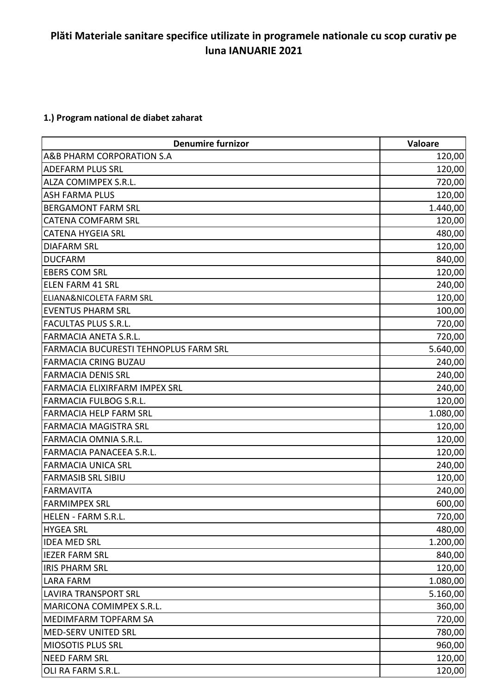## **Plăti Materiale sanitare specifice utilizate in programele nationale cu scop curativ pe luna IANUARIE 2021**

## **1.) Program national de diabet zaharat**

| <b>Denumire furnizor</b>                     | Valoare  |
|----------------------------------------------|----------|
| A&B PHARM CORPORATION S.A                    | 120,00   |
| <b>ADEFARM PLUS SRL</b>                      | 120,00   |
| ALZA COMIMPEX S.R.L.                         | 720,00   |
| <b>ASH FARMA PLUS</b>                        | 120,00   |
| <b>BERGAMONT FARM SRL</b>                    | 1.440,00 |
| <b>CATENA COMFARM SRL</b>                    | 120,00   |
| <b>CATENA HYGEIA SRL</b>                     | 480,00   |
| <b>DIAFARM SRL</b>                           | 120,00   |
| <b>DUCFARM</b>                               | 840,00   |
| <b>EBERS COM SRL</b>                         | 120,00   |
| <b>ELEN FARM 41 SRL</b>                      | 240,00   |
| <b>ELIANA&amp;NICOLETA FARM SRL</b>          | 120,00   |
| <b>EVENTUS PHARM SRL</b>                     | 100,00   |
| <b>FACULTAS PLUS S.R.L.</b>                  | 720,00   |
| <b>FARMACIA ANETA S.R.L.</b>                 | 720,00   |
| <b>FARMACIA BUCURESTI TEHNOPLUS FARM SRL</b> | 5.640,00 |
| <b>FARMACIA CRING BUZAU</b>                  | 240,00   |
| <b>FARMACIA DENIS SRL</b>                    | 240,00   |
| FARMACIA ELIXIRFARM IMPEX SRL                | 240,00   |
| FARMACIA FULBOG S.R.L.                       | 120,00   |
| <b>FARMACIA HELP FARM SRL</b>                | 1.080,00 |
| <b>FARMACIA MAGISTRA SRL</b>                 | 120,00   |
| FARMACIA OMNIA S.R.L.                        | 120,00   |
| FARMACIA PANACEEA S.R.L.                     | 120,00   |
| <b>FARMACIA UNICA SRL</b>                    | 240,00   |
| <b>FARMASIB SRL SIBIU</b>                    | 120,00   |
| <b>FARMAVITA</b>                             | 240,00   |
| <b>FARMIMPEX SRL</b>                         | 600,00   |
| <b>HELEN - FARM S.R.L.</b>                   | 720,00   |
| <b>HYGEA SRL</b>                             | 480,00   |
| <b>IDEA MED SRL</b>                          | 1.200,00 |
| <b>IEZER FARM SRL</b>                        | 840,00   |
| <b>IRIS PHARM SRL</b>                        | 120,00   |
| <b>LARA FARM</b>                             | 1.080,00 |
| <b>LAVIRA TRANSPORT SRL</b>                  | 5.160,00 |
| MARICONA COMIMPEX S.R.L.                     | 360,00   |
| MEDIMFARM TOPFARM SA                         | 720,00   |
| <b>MED-SERV UNITED SRL</b>                   | 780,00   |
| MIOSOTIS PLUS SRL                            | 960,00   |
| <b>NEED FARM SRL</b>                         | 120,00   |
| OLI RA FARM S.R.L.                           | 120,00   |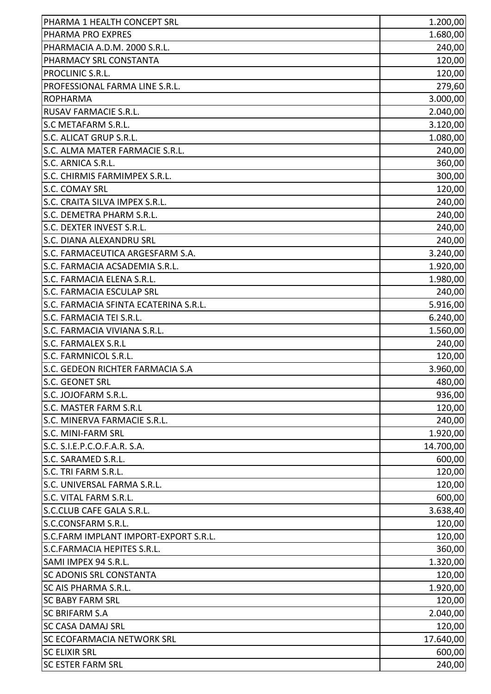| PHARMA 1 HEALTH CONCEPT SRL           | 1.200,00  |
|---------------------------------------|-----------|
| PHARMA PRO EXPRES                     | 1.680,00  |
| PHARMACIA A.D.M. 2000 S.R.L.          | 240,00    |
| PHARMACY SRL CONSTANTA                | 120,00    |
| PROCLINIC S.R.L.                      | 120,00    |
| PROFESSIONAL FARMA LINE S.R.L.        | 279,60    |
| <b>ROPHARMA</b>                       | 3.000,00  |
| RUSAV FARMACIE S.R.L.                 | 2.040,00  |
| <b>S.C METAFARM S.R.L.</b>            | 3.120,00  |
| S.C. ALICAT GRUP S.R.L.               | 1.080,00  |
| S.C. ALMA MATER FARMACIE S.R.L.       | 240,00    |
| S.C. ARNICA S.R.L.                    | 360,00    |
| S.C. CHIRMIS FARMIMPEX S.R.L.         | 300,00    |
| <b>S.C. COMAY SRL</b>                 | 120,00    |
| S.C. CRAITA SILVA IMPEX S.R.L.        | 240,00    |
| S.C. DEMETRA PHARM S.R.L.             | 240,00    |
| S.C. DEXTER INVEST S.R.L.             | 240,00    |
| <b>S.C. DIANA ALEXANDRU SRL</b>       | 240,00    |
| S.C. FARMACEUTICA ARGESFARM S.A.      | 3.240,00  |
| S.C. FARMACIA ACSADEMIA S.R.L.        | 1.920,00  |
| S.C. FARMACIA ELENA S.R.L.            | 1.980,00  |
| <b>S.C. FARMACIA ESCULAP SRL</b>      | 240,00    |
| S.C. FARMACIA SFINTA ECATERINA S.R.L. | 5.916,00  |
| S.C. FARMACIA TEI S.R.L.              | 6.240,00  |
| S.C. FARMACIA VIVIANA S.R.L.          | 1.560,00  |
| S.C. FARMALEX S.R.L                   | 240,00    |
| S.C. FARMNICOL S.R.L.                 | 120,00    |
| S.C. GEDEON RICHTER FARMACIA S.A      | 3.960,00  |
| <b>S.C. GEONET SRL</b>                | 480,00    |
| S.C. JOJOFARM S.R.L.                  | 936,00    |
| S.C. MASTER FARM S.R.L                | 120,00    |
| S.C. MINERVA FARMACIE S.R.L.          | 240,00    |
| S.C. MINI-FARM SRL                    | 1.920,00  |
| S.C. S.I.E.P.C.O.F.A.R. S.A.          | 14.700,00 |
| S.C. SARAMED S.R.L.                   | 600,00    |
| S.C. TRI FARM S.R.L.                  | 120,00    |
| S.C. UNIVERSAL FARMA S.R.L.           | 120,00    |
| S.C. VITAL FARM S.R.L.                | 600,00    |
| S.C.CLUB CAFE GALA S.R.L.             | 3.638,40  |
| S.C.CONSFARM S.R.L.                   | 120,00    |
| S.C.FARM IMPLANT IMPORT-EXPORT S.R.L. | 120,00    |
| S.C.FARMACIA HEPITES S.R.L.           | 360,00    |
| SAMI IMPEX 94 S.R.L.                  | 1.320,00  |
| <b>SC ADONIS SRL CONSTANTA</b>        | 120,00    |
| <b>SC AIS PHARMA S.R.L.</b>           | 1.920,00  |
| <b>SC BABY FARM SRL</b>               | 120,00    |
| <b>SC BRIFARM S.A</b>                 | 2.040,00  |
| <b>SC CASA DAMAJ SRL</b>              | 120,00    |
| <b>SC ECOFARMACIA NETWORK SRL</b>     | 17.640,00 |
| <b>SC ELIXIR SRL</b>                  | 600,00    |
| <b>SC ESTER FARM SRL</b>              | 240,00    |